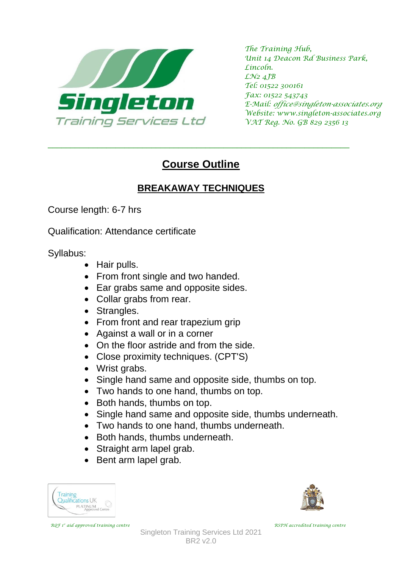

*The Training Hub, Unit 14 Deacon Rd Business Park, Lincoln. LN2 4JB Tel: 01522 300161 Fax: 01522 543743 E-Mail: office@singleton-associates.org Website: www.singleton-associates.org VAT Reg. No. GB 829 2356 13*

## **Course Outline**

\_\_\_\_\_\_\_\_\_\_\_\_\_\_\_\_\_\_\_\_\_\_\_\_\_\_\_\_\_\_\_\_\_\_\_\_\_\_\_\_\_\_\_\_\_\_\_\_\_\_\_\_\_\_\_\_\_\_\_\_\_\_\_\_\_\_\_

## **BREAKAWAY TECHNIQUES**

Course length: 6-7 hrs

Qualification: Attendance certificate

Syllabus:

- Hair pulls.
- From front single and two handed.
- Ear grabs same and opposite sides.
- Collar grabs from rear.
- Strangles.
- From front and rear trapezium grip
- Against a wall or in a corner
- On the floor astride and from the side.
- Close proximity techniques. (CPT'S)
- Wrist grabs.
- Single hand same and opposite side, thumbs on top.
- Two hands to one hand, thumbs on top.
- Both hands, thumbs on top.
- Single hand same and opposite side, thumbs underneath.
- Two hands to one hand, thumbs underneath.
- Both hands, thumbs underneath.
- Straight arm lapel grab.
- Bent arm lapel grab.



 *RQF 1*



*st aid approved training centre RSPH accredited training centre*